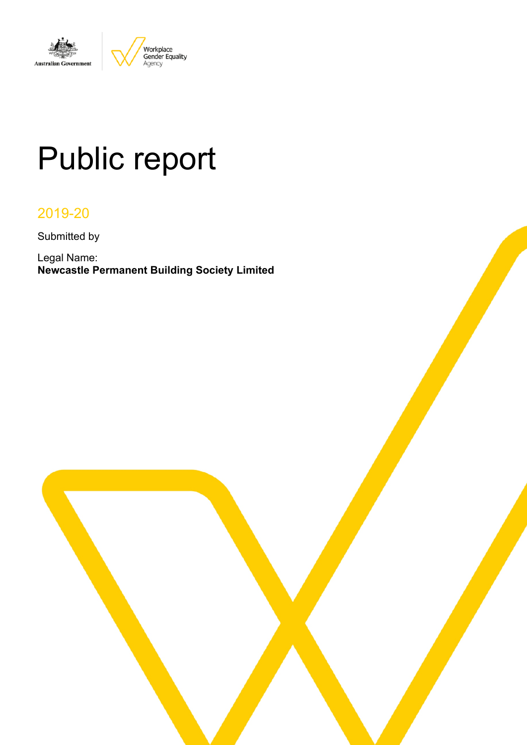

# Public report

# 2019-20

Submitted by

Legal Name: **Newcastle Permanent Building Society Limited**

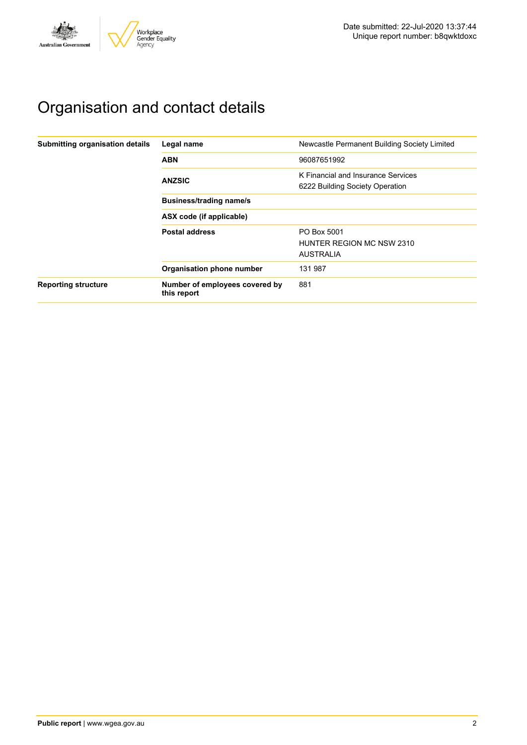

# Organisation and contact details

| Submitting organisation details | Legal name                                    | Newcastle Permanent Building Society Limited                          |  |  |  |  |
|---------------------------------|-----------------------------------------------|-----------------------------------------------------------------------|--|--|--|--|
|                                 | <b>ABN</b>                                    | 96087651992                                                           |  |  |  |  |
|                                 | <b>ANZSIC</b>                                 | K Financial and Insurance Services<br>6222 Building Society Operation |  |  |  |  |
|                                 | <b>Business/trading name/s</b>                |                                                                       |  |  |  |  |
|                                 | ASX code (if applicable)                      |                                                                       |  |  |  |  |
|                                 | <b>Postal address</b>                         | PO Box 5001<br>HUNTER REGION MC NSW 2310<br><b>AUSTRALIA</b>          |  |  |  |  |
|                                 | Organisation phone number                     | 131 987                                                               |  |  |  |  |
| <b>Reporting structure</b>      | Number of employees covered by<br>this report | 881                                                                   |  |  |  |  |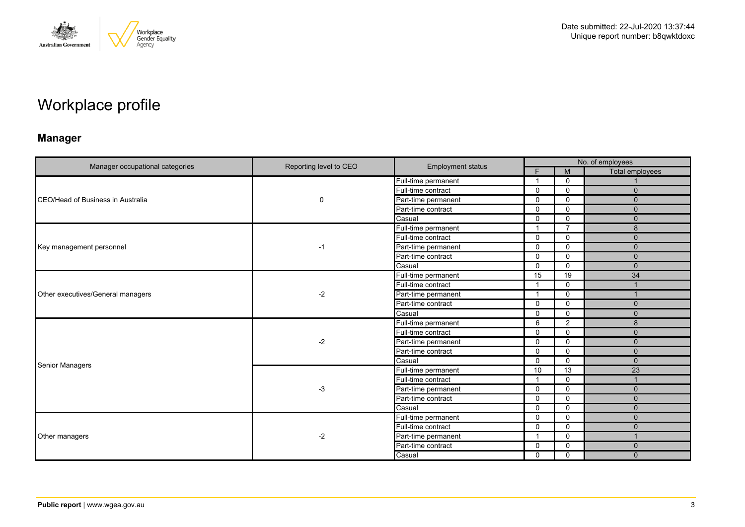

# Workplace profile

# **Manager**

|                                   |                        | <b>Employment status</b> | No. of employees |                |                        |  |
|-----------------------------------|------------------------|--------------------------|------------------|----------------|------------------------|--|
| Manager occupational categories   | Reporting level to CEO |                          | F.               | M              | <b>Total employees</b> |  |
|                                   |                        | Full-time permanent      | -1               | $\Omega$       |                        |  |
|                                   |                        | Full-time contract       | $\mathbf{0}$     | $\mathbf{0}$   | $\Omega$               |  |
| CEO/Head of Business in Australia | $\mathbf 0$            | Part-time permanent      | $\Omega$         | $\mathbf 0$    | $\mathbf{0}$           |  |
|                                   |                        | Part-time contract       | $\mathbf 0$      | $\mathbf{0}$   | $\mathbf{0}$           |  |
|                                   |                        | Casual                   | $\mathbf{0}$     | $\mathbf{0}$   | $\Omega$               |  |
|                                   |                        | Full-time permanent      | -1               | $\overline{7}$ | 8                      |  |
|                                   |                        | Full-time contract       | $\mathbf 0$      | $\mathbf 0$    | $\mathbf{0}$           |  |
| Key management personnel          | -1                     | Part-time permanent      | $\mathbf{0}$     | $\mathbf{0}$   | $\mathbf{0}$           |  |
|                                   |                        | Part-time contract       | $\Omega$         | $\mathbf 0$    | $\Omega$               |  |
|                                   |                        | Casual                   | $\mathbf 0$      | $\mathbf{0}$   | $\mathbf{0}$           |  |
| Other executives/General managers | $-2$                   | Full-time permanent      | 15               | 19             | 34                     |  |
|                                   |                        | Full-time contract       | $\overline{1}$   | $\mathbf 0$    |                        |  |
|                                   |                        | Part-time permanent      | $\mathbf{1}$     | $\mathbf 0$    |                        |  |
|                                   |                        | Part-time contract       | $\mathbf{0}$     | $\mathbf{0}$   | $\mathbf{0}$           |  |
|                                   |                        | Casual                   | 0                | $\mathbf 0$    | $\Omega$               |  |
|                                   | $-2$                   | Full-time permanent      | 6                | 2              | 8                      |  |
|                                   |                        | Full-time contract       | $\mathbf{0}$     | $\mathbf{0}$   | $\Omega$               |  |
|                                   |                        | Part-time permanent      | $\Omega$         | $\mathbf{0}$   | $\Omega$               |  |
|                                   |                        | Part-time contract       | $\mathbf 0$      | 0              | $\mathbf 0$            |  |
| <b>Senior Managers</b>            |                        | Casual                   | $\mathbf 0$      | $\mathbf 0$    | $\mathbf{0}$           |  |
|                                   |                        | Full-time permanent      | 10               | 13             | $\overline{23}$        |  |
|                                   |                        | Full-time contract       | $\mathbf{1}$     | 0              |                        |  |
|                                   | $-3$                   | Part-time permanent      | $\mathbf 0$      | 0              | $\Omega$               |  |
|                                   |                        | Part-time contract       | $\mathbf{0}$     | $\mathbf{0}$   | $\Omega$               |  |
|                                   |                        | Casual                   | $\mathbf{0}$     | $\mathbf{0}$   | $\mathbf{0}$           |  |
|                                   |                        | Full-time permanent      | $\mathbf{0}$     | $\mathbf 0$    | $\mathbf{0}$           |  |
|                                   |                        | Full-time contract       | $\mathbf{0}$     | $\mathbf{0}$   | $\Omega$               |  |
| Other managers                    | $-2$                   | Part-time permanent      | $\overline{1}$   | $\mathbf{0}$   |                        |  |
|                                   |                        | Part-time contract       | 0                | 0              | $\Omega$               |  |
|                                   |                        | Casual                   | $\mathbf 0$      | $\mathbf 0$    | $\Omega$               |  |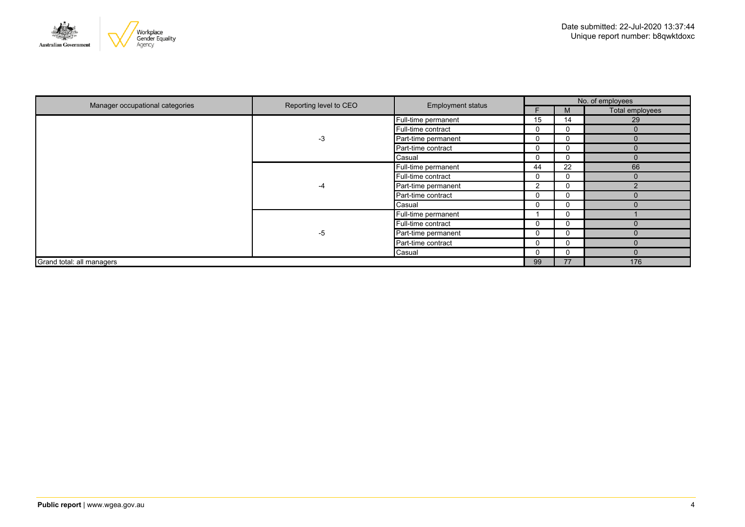

| Manager occupational categories | Reporting level to CEO | <b>Employment status</b> |                | No. of employees |                 |  |
|---------------------------------|------------------------|--------------------------|----------------|------------------|-----------------|--|
|                                 |                        |                          |                | M                | Total employees |  |
|                                 |                        | Full-time permanent      | 15             | 14               | 29              |  |
|                                 |                        | Full-time contract       | 0              | $\Omega$         | $\Omega$        |  |
|                                 | -3                     | Part-time permanent      | 0              | $\Omega$         | $\Omega$        |  |
|                                 |                        | Part-time contract       | 0              | 0                | $\Omega$        |  |
|                                 |                        | Casual                   | 0              |                  | $\Omega$        |  |
|                                 | -4                     | Full-time permanent      | 44             | 22               | 66              |  |
|                                 |                        | Full-time contract       | 0              | 0                | $\Omega$        |  |
|                                 |                        | Part-time permanent      | $\overline{2}$ | ⌒<br>U           | $\Omega$        |  |
|                                 |                        | Part-time contract       | 0              |                  |                 |  |
|                                 |                        | Casual                   | 0              |                  |                 |  |
|                                 |                        | Full-time permanent      |                | $\mathbf{U}$     |                 |  |
|                                 |                        | Full-time contract       | 0              |                  |                 |  |
|                                 | -5                     | Part-time permanent      | 0              |                  | $\Omega$        |  |
|                                 |                        | Part-time contract       | 0              |                  |                 |  |
|                                 |                        | Casual                   | 0              |                  |                 |  |
| Grand total: all managers       |                        |                          | 99             | 77               | 176             |  |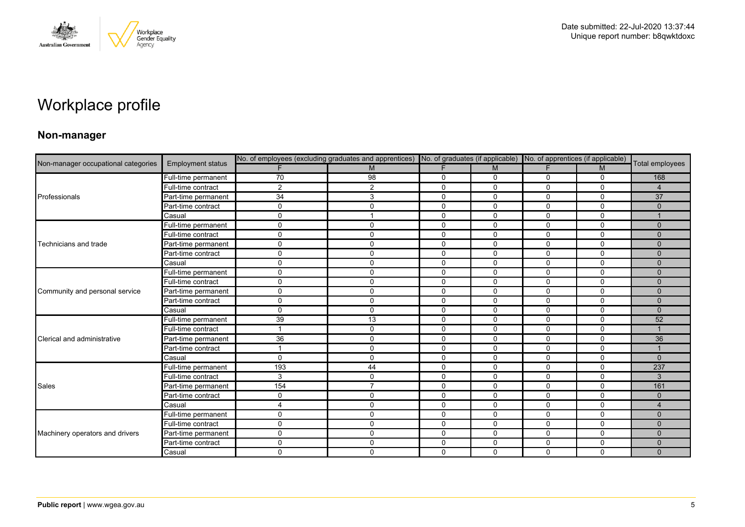

# Workplace profile

### **Non-manager**

|                                     |                          |              |                |             |              | No. of employees (excluding graduates and apprentices) No. of graduates (if applicable) No. of apprentices (if applicable) |              |                        |
|-------------------------------------|--------------------------|--------------|----------------|-------------|--------------|----------------------------------------------------------------------------------------------------------------------------|--------------|------------------------|
| Non-manager occupational categories | <b>Employment status</b> |              | M              |             | M            |                                                                                                                            | M            | Total employees        |
|                                     | Full-time permanent      | 70           | 98             | 0           | 0            | 0                                                                                                                          | 0            | 168                    |
|                                     | Full-time contract       | 2            | 2              | $\mathbf 0$ | $\Omega$     | $\Omega$                                                                                                                   | $\mathbf{0}$ | $\overline{4}$         |
| Professionals                       | Part-time permanent      | 34           | 3              | $\mathbf 0$ | 0            | 0                                                                                                                          | $\Omega$     | 37                     |
|                                     | Part-time contract       | $\Omega$     | 0              | 0           | 0            | 0                                                                                                                          | $\Omega$     | $\Omega$               |
|                                     | Casual                   | $\mathbf{0}$ | $\overline{1}$ | $\Omega$    | $\Omega$     | $\mathbf{0}$                                                                                                               | $\mathbf{0}$ |                        |
|                                     | Full-time permanent      | $\mathbf 0$  | 0              | $\mathbf 0$ | $\mathbf 0$  | 0                                                                                                                          | $\mathbf{0}$ | $\Omega$               |
|                                     | Full-time contract       | $\Omega$     | $\mathbf 0$    | 0           | 0            | $\mathbf 0$                                                                                                                | $\mathbf 0$  | $\Omega$               |
| Technicians and trade               | Part-time permanent      | $\mathbf 0$  | 0              | $\mathbf 0$ | $\mathbf 0$  | $\mathbf 0$                                                                                                                | 0            | $\Omega$               |
|                                     | Part-time contract       | $\Omega$     | $\mathbf 0$    | $\mathbf 0$ | $\Omega$     | $\Omega$                                                                                                                   | $\mathbf{0}$ | $\Omega$               |
|                                     | Casual                   | $\mathbf 0$  | 0              | $\mathbf 0$ | $\mathbf 0$  | $\mathbf 0$                                                                                                                | $\mathbf 0$  | $\Omega$               |
|                                     | Full-time permanent      | $\mathbf 0$  | 0              | $\mathbf 0$ | $\mathbf{0}$ | $\Omega$                                                                                                                   | $\Omega$     | $\Omega$               |
|                                     | Full-time contract       | $\Omega$     | $\mathbf 0$    | $\mathbf 0$ | 0            | 0                                                                                                                          | 0            | $\Omega$               |
| Community and personal service      | Part-time permanent      | $\mathbf 0$  | $\mathbf 0$    | $\mathbf 0$ | $\mathbf 0$  | $\mathbf 0$                                                                                                                | $\mathbf 0$  | $\Omega$               |
|                                     | Part-time contract       | $\mathbf 0$  | $\mathbf 0$    | $\mathbf 0$ | $\mathbf 0$  | $\mathbf 0$                                                                                                                | $\Omega$     | $\mathbf{0}$           |
|                                     | Casual                   | $\Omega$     | $\mathbf{0}$   | $\mathbf 0$ | $\Omega$     | $\Omega$                                                                                                                   | $\mathbf{0}$ | $\Omega$               |
|                                     | Full-time permanent      | 39           | 13             | $\mathbf 0$ | $\Omega$     | $\mathbf 0$                                                                                                                | $\mathbf{0}$ | 52                     |
|                                     | Full-time contract       |              | 0              | $\mathbf 0$ | 0            | $\mathbf 0$                                                                                                                | 0            |                        |
| Clerical and administrative         | Part-time permanent      | 36           | $\mathbf 0$    | $\mathbf 0$ | $\Omega$     | $\Omega$                                                                                                                   | $\mathbf{0}$ | 36                     |
|                                     | Part-time contract       |              | $\mathbf 0$    | $\mathbf 0$ | $\mathbf 0$  | $\mathbf 0$                                                                                                                | 0            |                        |
|                                     | Casual                   | $\mathbf 0$  | 0              | 0           | $\mathbf 0$  | 0                                                                                                                          | 0            | $\mathbf{0}$           |
|                                     | Full-time permanent      | 193          | 44             | $\mathbf 0$ | $\mathbf 0$  | $\mathbf 0$                                                                                                                | $\mathbf 0$  | 237                    |
|                                     | Full-time contract       | 3            | 0              | $\mathbf 0$ | $\Omega$     | $\Omega$                                                                                                                   | $\Omega$     | 3                      |
| Sales                               | Part-time permanent      | 154          | $\overline{7}$ | $\mathbf 0$ | 0            | $\mathbf 0$                                                                                                                | $\mathbf 0$  | 161                    |
|                                     | Part-time contract       | $\mathbf 0$  | 0              | $\mathbf 0$ | $\mathbf 0$  | $\mathbf 0$                                                                                                                | $\mathbf 0$  | $\mathbf{0}$           |
|                                     | Casual                   | 4            | 0              | $\mathbf 0$ | 0            | 0                                                                                                                          | $\Omega$     | $\boldsymbol{\Lambda}$ |
|                                     | Full-time permanent      | $\Omega$     | $\mathbf 0$    | 0           | 0            | 0                                                                                                                          | 0            | $\mathbf{0}$           |
|                                     | Full-time contract       | $\mathbf 0$  | $\mathsf{O}$   | $\mathbf 0$ | $\mathbf 0$  | $\mathbf 0$                                                                                                                | $\mathbf 0$  | $\Omega$               |
| Machinery operators and drivers     | Part-time permanent      | $\mathbf 0$  | $\mathbf 0$    | $\mathbf 0$ | $\mathbf 0$  | 0                                                                                                                          | $\mathbf 0$  | $\Omega$               |
|                                     | Part-time contract       | $\Omega$     | 0              | 0           | 0            | 0                                                                                                                          | 0            | $\mathbf{0}$           |
|                                     | Casual                   | $\mathbf 0$  | $\mathbf 0$    | $\mathbf 0$ | $\Omega$     | $\Omega$                                                                                                                   | $\mathbf 0$  | $\mathbf{0}$           |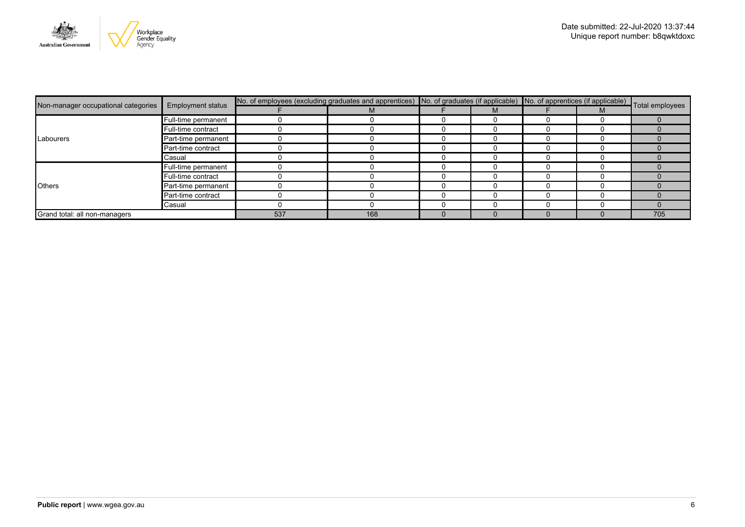

|                                     | <b>Employment status</b> | No. of employees (excluding graduates and apprentices) No. of graduates (if applicable) No. of apprentices (if applicable) Total employees |     |  |  |  |  |     |
|-------------------------------------|--------------------------|--------------------------------------------------------------------------------------------------------------------------------------------|-----|--|--|--|--|-----|
| Non-manager occupational categories |                          |                                                                                                                                            | М   |  |  |  |  |     |
|                                     | Full-time permanent      |                                                                                                                                            |     |  |  |  |  |     |
|                                     | Full-time contract       |                                                                                                                                            |     |  |  |  |  |     |
| Labourers                           | Part-time permanent      |                                                                                                                                            |     |  |  |  |  |     |
|                                     | Part-time contract       |                                                                                                                                            |     |  |  |  |  |     |
|                                     | Casual                   |                                                                                                                                            |     |  |  |  |  |     |
|                                     | Full-time permanent      |                                                                                                                                            |     |  |  |  |  |     |
|                                     | Full-time contract       |                                                                                                                                            |     |  |  |  |  |     |
| <b>Others</b>                       | Part-time permanent      |                                                                                                                                            |     |  |  |  |  |     |
|                                     | Part-time contract       |                                                                                                                                            |     |  |  |  |  |     |
|                                     | Casual                   |                                                                                                                                            |     |  |  |  |  |     |
| Grand total: all non-managers       |                          | 537                                                                                                                                        | 168 |  |  |  |  | 705 |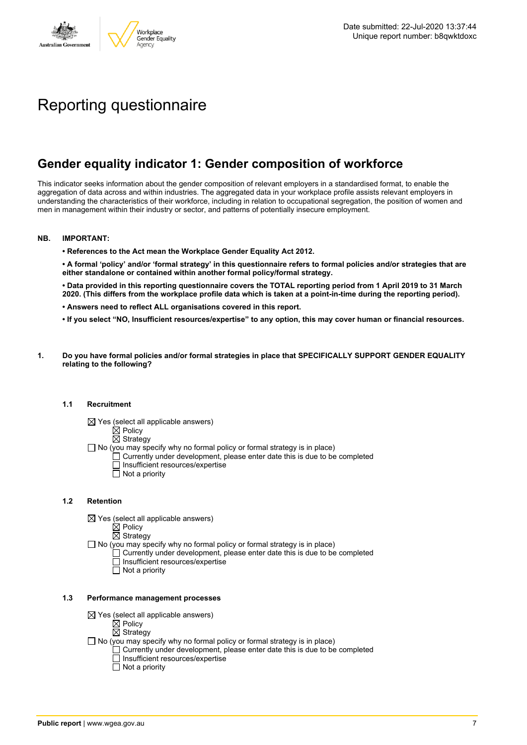

# Reporting questionnaire

# **Gender equality indicator 1: Gender composition of workforce**

This indicator seeks information about the gender composition of relevant employers in a standardised format, to enable the aggregation of data across and within industries. The aggregated data in your workplace profile assists relevant employers in understanding the characteristics of their workforce, including in relation to occupational segregation, the position of women and men in management within their industry or sector, and patterns of potentially insecure employment.

#### **NB. IMPORTANT:**

**• References to the Act mean the Workplace Gender Equality Act 2012.**

• A formal 'policy' and/or 'formal strategy' in this questionnaire refers to formal policies and/or strategies that are **either standalone or contained within another formal policy/formal strategy.**

• Data provided in this reporting questionnaire covers the TOTAL reporting period from 1 April 2019 to 31 March 2020. (This differs from the workplace profile data which is taken at a point-in-time during the reporting period).

- **• Answers need to reflect ALL organisations covered in this report.**
- . If you select "NO, Insufficient resources/expertise" to any option, this may cover human or financial resources.
- **1. Do you have formal policies and/or formal strategies in place that SPECIFICALLY SUPPORT GENDER EQUALITY relating to the following?**

#### **1.1 Recruitment**

- $\boxtimes$  Yes (select all applicable answers)
	- $\boxtimes$  Policy
	- $\boxtimes$  Strategy
- No (you may specify why no formal policy or formal strategy is in place)
	- $\Box$  Currently under development, please enter date this is due to be completed
		- $\overline{\Box}$  Insufficient resources/expertise
		- $\Box$  Not a priority

#### **1.2 Retention**

- $\boxtimes$  Yes (select all applicable answers)
	- $\boxtimes$  Policy
	- $\boxtimes$  Strategy
- No (you may specify why no formal policy or formal strategy is in place)
	- $\Box$  Currently under development, please enter date this is due to be completed
		- Insufficient resources/expertise
		- Not a priority

#### **1.3 Performance management processes**

- $\boxtimes$  Yes (select all applicable answers)
	- $\mathbb{\dot{Z}}$  Policy
	- $\boxtimes$  Strategy
- $\Box$  No (you may specify why no formal policy or formal strategy is in place)
	- $\Box$  Currently under development, please enter date this is due to be completed
	- $\Box$  Insufficient resources/expertise
	- $\Box$  Not a priority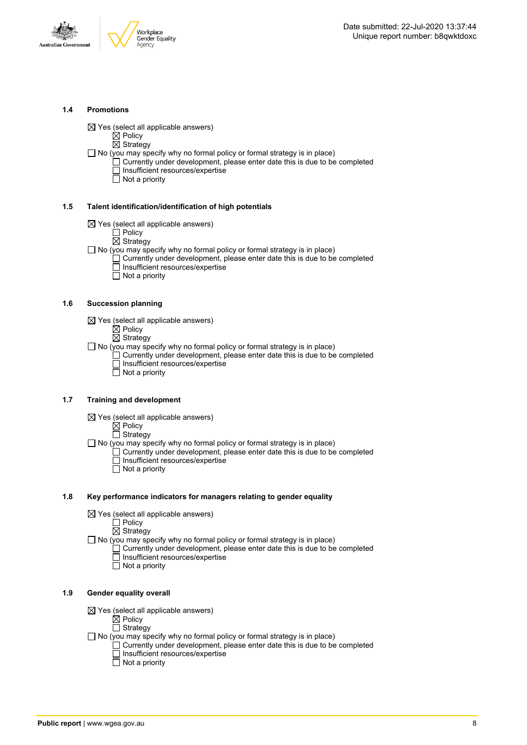



#### **1.4 Promotions**

 $\boxtimes$  Yes (select all applicable answers)

 $\boxtimes$  Policy  $\overline{\boxtimes}$  Strategy

- $\Box$  No (you may specify why no formal policy or formal strategy is in place)
	- $\Box$  Currently under development, please enter date this is due to be completed □ Insufficient resources/expertise
		- $\overline{\Box}$  Not a priority

#### **1.5 Talent identification/identification of high potentials**

- $\boxtimes$  Yes (select all applicable answers)
	- Policy
	- $\overline{\boxtimes}$  Strategy
- $\Box$  No (you may specify why no formal policy or formal strategy is in place)
	- Currently under development, please enter date this is due to be completed Insufficient resources/expertise
		- $\overline{\Box}$  Not a priority

#### **1.6 Succession planning**

- $\boxtimes$  Yes (select all applicable answers)
	- $\boxtimes$  Policy
	- $\overline{\boxtimes}$  Strategy

 $\Box$  No (you may specify why no formal policy or formal strategy is in place)

- $\Box$  Currently under development, please enter date this is due to be completed Insufficient resources/expertise
- Not a priority

#### **1.7 Training and development**

- $\boxtimes$  Yes (select all applicable answers)
	- $\boxtimes$  Policy
		- $\Box$  Strategy
- $\Box$  No (you may specify why no formal policy or formal strategy is in place)
	- Currently under development, please enter date this is due to be completed Insufficient resources/expertise
		- $\Box$  Not a priority

#### **1.8 Key performance indicators for managers relating to gender equality**

- $\boxtimes$  Yes (select all applicable answers)
	- □ Policy
	- $\boxtimes$  Strategy

 $\Box$  No (you may specify why no formal policy or formal strategy is in place)

- $\Box$  Currently under development, please enter date this is due to be completed Insufficient resources/expertise
	- Not a priority

#### **1.9 Gender equality overall**

- $\boxtimes$  Yes (select all applicable answers)
	- $\boxtimes$  Policy
	- $\Box$  Strategy
- $\Box$  No (you may specify why no formal policy or formal strategy is in place)
	- $\Box$  Currently under development, please enter date this is due to be completed □ Insufficient resources/expertise
		- $\Box$  Not a priority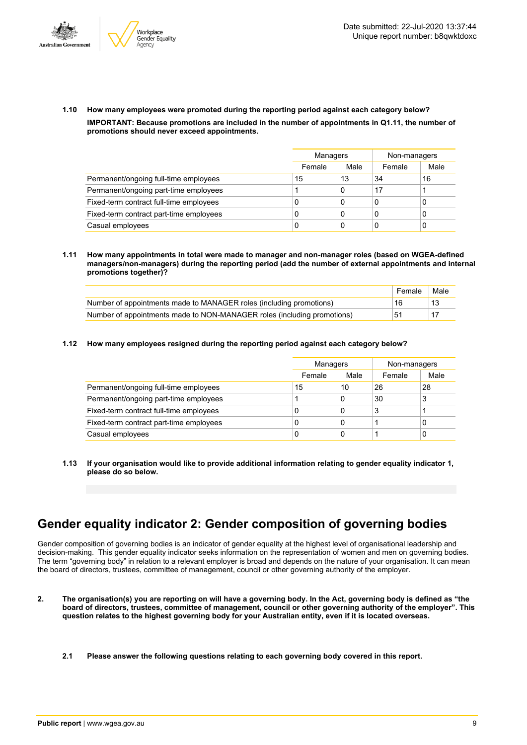



**1.10 How many employees were promoted during the reporting period against each category below? IMPORTANT: Because promotions are included in the number of appointments in Q1.11, the number of promotions should never exceed appointments.**

|                                         |        | Managers |        | Non-managers |
|-----------------------------------------|--------|----------|--------|--------------|
|                                         | Female | Male     | Female | Male         |
| Permanent/ongoing full-time employees   | 15     | 13       | 34     | 16           |
| Permanent/ongoing part-time employees   |        | 0        | 17     |              |
| Fixed-term contract full-time employees | 0      | 0        | 0      |              |
| Fixed-term contract part-time employees | 0      | 0        | 0      |              |
| Casual employees                        | 0      | 0        | C      |              |

**1.11 How many appointments in total were made to manager and non-manager roles (based on WGEA-defined managers/non-managers) during the reporting period (add the number of external appointments and internal promotions together)?**

|                                                                         | Female | Male |
|-------------------------------------------------------------------------|--------|------|
| Number of appointments made to MANAGER roles (including promotions)     | 16     |      |
| Number of appointments made to NON-MANAGER roles (including promotions) | 51     |      |

**1.12 How many employees resigned during the reporting period against each category below?**

|                                         | Managers |      | Non-managers |      |
|-----------------------------------------|----------|------|--------------|------|
|                                         | Female   | Male | Female       | Male |
| Permanent/ongoing full-time employees   | 15       | 10   | 26           | 28   |
| Permanent/ongoing part-time employees   |          | 0    | 30           | 3    |
| Fixed-term contract full-time employees | 0        | 0    |              |      |
| Fixed-term contract part-time employees | 0        | 0    |              | 0    |
| Casual employees                        | 0        | 0    |              | 0    |

**1.13 If your organisation would like to provide additional information relating to gender equality indicator 1, please do so below.**

# **Gender equality indicator 2: Gender composition of governing bodies**

Gender composition of governing bodies is an indicator of gender equality at the highest level of organisational leadership and decision-making. This gender equality indicator seeks information on the representation of women and men on governing bodies. The term "governing body" in relation to a relevant employer is broad and depends on the nature of your organisation. It can mean the board of directors, trustees, committee of management, council or other governing authority of the employer.

- 2. The organisation(s) you are reporting on will have a governing body. In the Act, governing body is defined as "the board of directors, trustees, committee of management, council or other governing authority of the employer". This question relates to the highest governing body for your Australian entity, even if it is located overseas.
	- **2.1 Please answer the following questions relating to each governing body covered in this report.**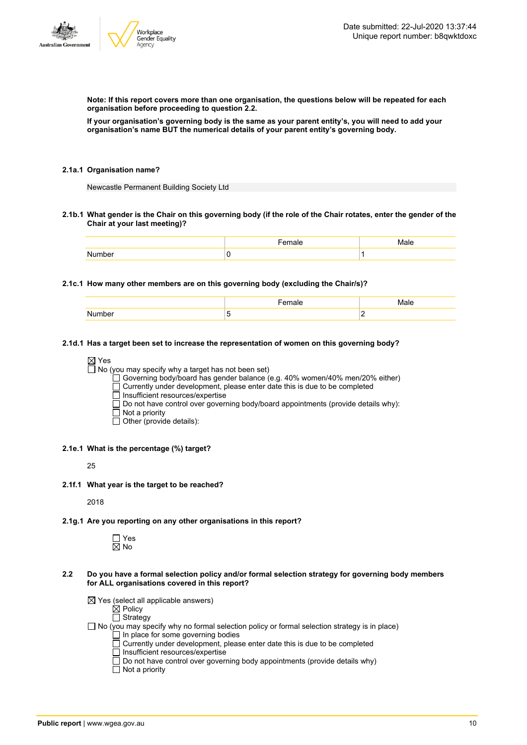

**Note: If this report covers more than one organisation, the questions below will be repeated for each organisation before proceeding to question 2.2.**

If your organisation's governing body is the same as your parent entity's, you will need to add your **organisation's name BUT the numerical details of your parent entity's governing body.**

#### **2.1a.1 Organisation name?**

Newcastle Permanent Building Society Ltd

2.1b.1 What gender is the Chair on this governing body (if the role of the Chair rotates, enter the gender of the **Chair at your last meeting)?**

#### **2.1c.1 How many other members are on this governing body (excluding the Chair/s)?**

|               | -----<br>пае                  | Male                            |
|---------------|-------------------------------|---------------------------------|
| <b>Number</b> | -<br>$\overline{\phantom{a}}$ | . .<br>$\overline{\phantom{0}}$ |

#### **2.1d.1 Has a target been set to increase the representation of women on this governing body?**

#### ⊠ Yes

 $\Box$  No (you may specify why a target has not been set)

Governing body/board has gender balance (e.g. 40% women/40% men/20% either)

Currently under development, please enter date this is due to be completed

- $\overline{\Box}$  Insufficient resources/expertise
- $\square$  Do not have control over governing body/board appointments (provide details why):
- $\Box$  Not a priority
- Other (provide details):
- **2.1e.1 What is the percentage (%) target?**

25

**2.1f.1 What year is the target to be reached?**

2018

**2.1g.1 Are you reporting on any other organisations in this report?**

 $\Box$  Yes  $\overline{\boxtimes}$  No

- **2.2 Do you have a formal selection policy and/or formal selection strategy for governing body members for ALL organisations covered in this report?**
	- $\boxtimes$  Yes (select all applicable answers)

Not a priority

 $\mathbb{\dot{R}}$  Policy

 $\Box$  Strategy

- No (you may specify why no formal selection policy or formal selection strategy is in place)  $\Box$  In place for some governing bodies
	-
	- $\Box$  Currently under development, please enter date this is due to be completed
	- □ Insufficient resources/expertise
	- Do not have control over governing body appointments (provide details why)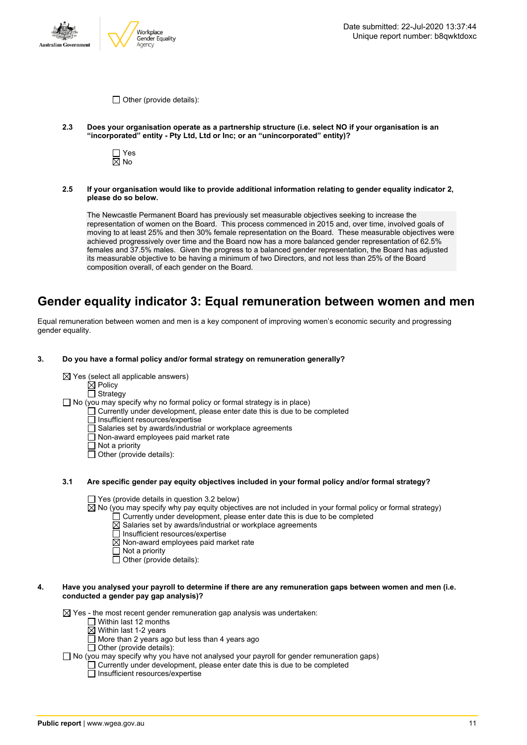



 $\Box$  Other (provide details):

- **2.3 Does your organisation operate as a partnership structure (i.e. select NO if your organisation is an "incorporated" entity - Pty Ltd, Ltd or Inc; or an "unincorporated" entity)?**
	- □ Yes  $\overline{\boxtimes}$  No
- **2.5 If your organisation would like to provide additional information relating to gender equality indicator 2, please do so below.**

The Newcastle Permanent Board has previously set measurable objectives seeking to increase the representation of women on the Board. This process commenced in 2015 and, over time, involved goals of moving to at least 25% and then 30% female representation on the Board. These measurable objectives were achieved progressively over time and the Board now has a more balanced gender representation of 62.5% females and 37.5% males. Given the progress to a balanced gender representation, the Board has adjusted its measurable objective to be having a minimum of two Directors, and not less than 25% of the Board composition overall, of each gender on the Board.

### **Gender equality indicator 3: Equal remuneration between women and men**

Equal remuneration between women and men is a key component of improving women's economic security and progressing gender equality.

#### **3. Do you have a formal policy and/or formal strategy on remuneration generally?**

- $\boxtimes$  Yes (select all applicable answers)
	- $\boxtimes$  Policy
	- □ Strategy
- No (you may specify why no formal policy or formal strategy is in place)
	- $\Box$  Currently under development, please enter date this is due to be completed
		- □ Insufficient resources/expertise
		- Salaries set by awards/industrial or workplace agreements
		- Non-award employees paid market rate
		- $\overline{\Box}$  Not a priority
		- $\Box$  Other (provide details):

#### **3.1 Are specific gender pay equity objectives included in your formal policy and/or formal strategy?**

- $\Box$  Yes (provide details in question 3.2 below)
- $\overline{8}$  No (you may specify why pay equity objectives are not included in your formal policy or formal strategy)
	- $\Box$  Currently under development, please enter date this is due to be completed
	- $\boxtimes$  Salaries set by awards/industrial or workplace agreements
	- $\Box$  Insufficient resources/expertise
	- $\boxtimes$  Non-award employees paid market rate
	- $\Box$  Not a priority
	- $\Box$  Other (provide details):

#### 4. Have you analysed your payroll to determine if there are any remuneration gaps between women and men (i.e. **conducted a gender pay gap analysis)?**

 $\boxtimes$  Yes - the most recent gender remuneration gap analysis was undertaken:

- □ Within last 12 months
- $\boxtimes$  Within last 1-2 years
- $\overline{\Box}$  More than 2 years ago but less than 4 years ago
- $\Box$  Other (provide details):
- $\Box$  No (you may specify why you have not analysed your payroll for gender remuneration gaps)
	- $\Box$  Currently under development, please enter date this is due to be completed
		- $\overline{\Box}$  Insufficient resources/expertise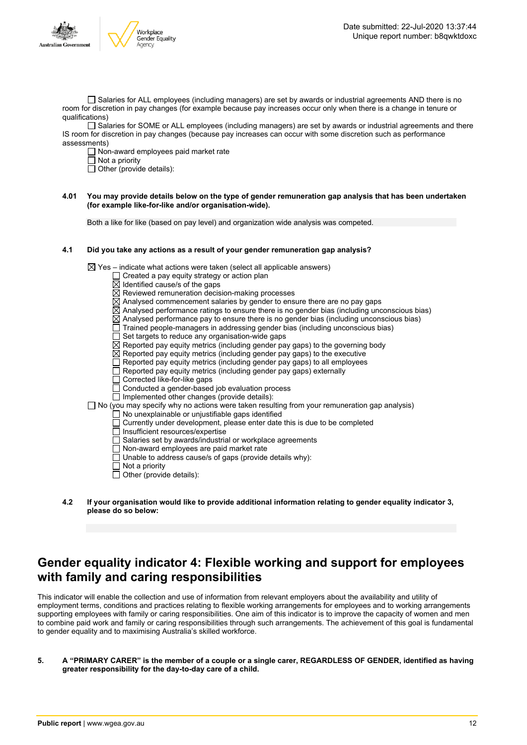

□ Salaries for ALL employees (including managers) are set by awards or industrial agreements AND there is no room for discretion in pay changes (for example because pay increases occur only when there is a change in tenure or qualifications)

Salaries for SOME or ALL employees (including managers) are set by awards or industrial agreements and there IS room for discretion in pay changes (because pay increases can occur with some discretion such as performance assessments)

Non-award employees paid market rate

 $\Box$  Not a priority

 $\Box$  Other (provide details):

#### 4.01 You may provide details below on the type of gender remuneration gap analysis that has been undertaken **(for example like-for-like and/or organisation-wide).**

Both a like for like (based on pay level) and organization wide analysis was competed.

#### **4.1 Did you take any actions as a result of your gender remuneration gap analysis?**

 $\boxtimes$  Yes – indicate what actions were taken (select all applicable answers)

- $\Box$  Created a pay equity strategy or action plan
- $\overline{\boxtimes}$  Identified cause/s of the gaps
- $\boxtimes$  Reviewed remuneration decision-making processes
- $\overline{\boxtimes}$  Analysed commencement salaries by gender to ensure there are no pay gaps
- $\boxtimes$  Analysed performance ratings to ensure there is no gender bias (including unconscious bias)
- $\boxtimes$  Analysed performance pay to ensure there is no gender bias (including unconscious bias)
- Trained people-managers in addressing gender bias (including unconscious bias)
- Set targets to reduce any organisation-wide gaps
- $\boxtimes$  Reported pay equity metrics (including gender pay gaps) to the governing body
- $\overline{\boxtimes}$  Reported pay equity metrics (including gender pay gaps) to the executive
- $\Box$  Reported pay equity metrics (including gender pay gaps) to all employees
- $\Box$  Reported pay equity metrics (including gender pay gaps) externally
- □ Corrected like-for-like gaps
- Conducted a gender-based job evaluation process
- $\Box$  Implemented other changes (provide details):
- $\Box$  No (you may specify why no actions were taken resulting from your remuneration gap analysis)
	- No unexplainable or unjustifiable gaps identified
	- Currently under development, please enter date this is due to be completed
	- Insufficient resources/expertise
	- $\Box$  Salaries set by awards/industrial or workplace agreements
	- Non-award employees are paid market rate
	- Unable to address cause/s of gaps (provide details why):
	- Not a priority
	- $\Box$  Other (provide details):
- **4.2 If your organisation would like to provide additional information relating to gender equality indicator 3, please do so below:**

### **Gender equality indicator 4: Flexible working and support for employees with family and caring responsibilities**

This indicator will enable the collection and use of information from relevant employers about the availability and utility of employment terms, conditions and practices relating to flexible working arrangements for employees and to working arrangements supporting employees with family or caring responsibilities. One aim of this indicator is to improve the capacity of women and men to combine paid work and family or caring responsibilities through such arrangements. The achievement of this goal is fundamental to gender equality and to maximising Australia's skilled workforce.

5. A "PRIMARY CARER" is the member of a couple or a single carer, REGARDLESS OF GENDER, identified as having **greater responsibility for the day-to-day care of a child.**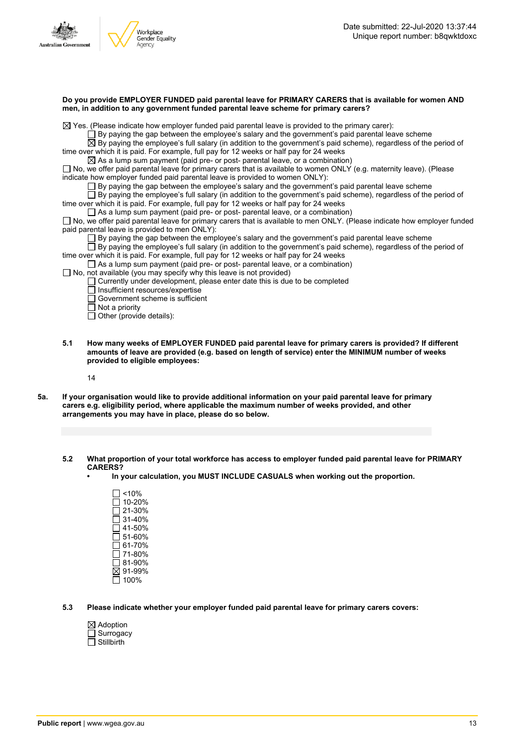



| Do you provide EMPLOYER FUNDED paid parental leave for PRIMARY CARERS that is available for women AND |  |
|-------------------------------------------------------------------------------------------------------|--|
| men, in addition to any government funded parental leave scheme for primary carers?                   |  |

 $\boxtimes$  Yes. (Please indicate how employer funded paid parental leave is provided to the primary carer):

 $\Box$  By paying the gap between the employee's salary and the government's paid parental leave scheme

By paying the employee's full salary (in addition to the government's paid scheme), regardless of the period of time over which it is paid. For example, full pay for 12 weeks or half pay for 24 weeks

 $\boxtimes$  As a lump sum payment (paid pre- or post- parental leave, or a combination)

 $\square$  No, we offer paid parental leave for primary carers that is available to women ONLY (e.g. maternity leave). (Please indicate how employer funded paid parental leave is provided to women ONLY):

 $\square$  By paying the gap between the employee's salary and the government's paid parental leave scheme

 $\square$  By paying the employee's full salary (in addition to the government's paid scheme), regardless of the period of time over which it is paid. For example, full pay for 12 weeks or half pay for 24 weeks

As a lump sum payment (paid pre- or post- parental leave, or a combination)

 $\Box$  No, we offer paid parental leave for primary carers that is available to men ONLY. (Please indicate how employer funded paid parental leave is provided to men ONLY):

 $\Box$  By paying the gap between the employee's salary and the government's paid parental leave scheme

 $\Box$  By paying the employee's full salary (in addition to the government's paid scheme), regardless of the period of time over which it is paid. For example, full pay for 12 weeks or half pay for 24 weeks

 $\Box$  As a lump sum payment (paid pre- or post- parental leave, or a combination)

 $\Box$  No, not available (you may specify why this leave is not provided)

 $\Box$  Currently under development, please enter date this is due to be completed

□ Insufficient resources/expertise

Workplace Gender Equality **kgency** 

Government scheme is sufficient

Not a priority

 $\overline{\Box}$  Other (provide details):

**5.1 How many weeks of EMPLOYER FUNDED paid parental leave for primary carers is provided? If different amounts of leave are provided (e.g. based on length of service) enter the MINIMUM number of weeks provided to eligible employees:**

14

- 5a. If your organisation would like to provide additional information on your paid parental leave for primary **carers e.g. eligibility period, where applicable the maximum number of weeks provided, and other arrangements you may have in place, please do so below.**
	- **5.2 What proportion of your total workforce has access to employer funded paid parental leave for PRIMARY CARERS?**
		- **• In your calculation, you MUST INCLUDE CASUALS when working out the proportion.**
			- $\Box$  <10% 10-20% 21-30%  $\Box$  31-40%  $\Box$  41-50% 51-60% 61-70%  $\Box$  71-80% 81-90%  $\overline{\boxtimes}$  91-99%  $\Box$  100%
	- **5.3 Please indicate whether your employer funded paid parental leave for primary carers covers:**
		- $\boxtimes$  Adoption  $\Box$  Surrogacy
		- $\Box$  Stillbirth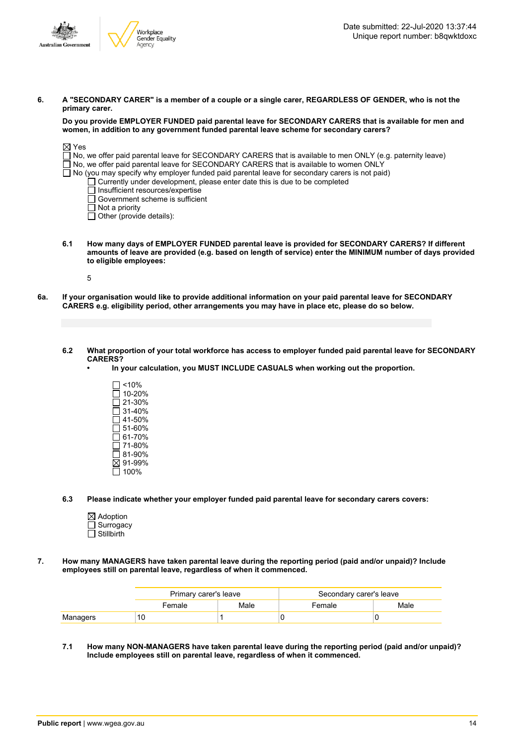

6. A "SECONDARY CARER" is a member of a couple or a single carer, REGARDLESS OF GENDER, who is not the **primary carer.**

#### **Do you provide EMPLOYER FUNDED paid parental leave for SECONDARY CARERS that is available for men and women, in addition to any government funded parental leave scheme for secondary carers?**

| ⊠ Yes                                                                                                             |  |
|-------------------------------------------------------------------------------------------------------------------|--|
| $\Box$ No, we offer paid parental leave for SECONDARY CARERS that is available to men ONLY (e.g. paternity leave) |  |
| $\Box$ No, we offer paid parental leave for SECONDARY CARERS that is available to women ONLY                      |  |
| $\Box$ No (you may specify why employer funded paid parental leave for secondary carers is not paid)              |  |
| $\Box$ Currently under development, please enter date this is due to be completed                                 |  |
| Insufficient resources/expertise                                                                                  |  |
| $\Box$ Government scheme is sufficient                                                                            |  |
| $\Box$ Not a priority                                                                                             |  |

Other (provide details):

**6.1 How many days of EMPLOYER FUNDED parental leave is provided for SECONDARY CARERS? If different** amounts of leave are provided (e.g. based on length of service) enter the MINIMUM number of days provided **to eligible employees:**

5

- 6a. If your organisation would like to provide additional information on your paid parental leave for SECONDARY **CARERS e.g. eligibility period, other arrangements you may have in place etc, please do so below.**
	- 6.2 What proportion of your total workforce has access to employer funded paid parental leave for SECONDARY **CARERS?**
		- **• In your calculation, you MUST INCLUDE CASUALS when working out the proportion.**
			- $\Box$  <10%  $\square$  10-20%  $\overline{\square}$  21-30%  $\overline{\Box}$  31-40%  $\square$  41-50%  $\square$  51-60%  $\Box$  61-70%  $\overline{7}$  71-80% 81-90% 91-99%  $\Box$  100%
	- **6.3 Please indicate whether your employer funded paid parental leave for secondary carers covers:**
		- $\boxtimes$  Adoption Surrogacy  $\Box$  Stillbirth
- **7. How many MANAGERS have taken parental leave during the reporting period (paid and/or unpaid)? Include employees still on parental leave, regardless of when it commenced.**

|          | Primary carer's leave |      | Secondary carer's leave |      |
|----------|-----------------------|------|-------------------------|------|
|          | Female                | Male | Female                  | Male |
| Managers |                       |      |                         |      |

**7.1 How many NON-MANAGERS have taken parental leave during the reporting period (paid and/or unpaid)? Include employees still on parental leave, regardless of when it commenced.**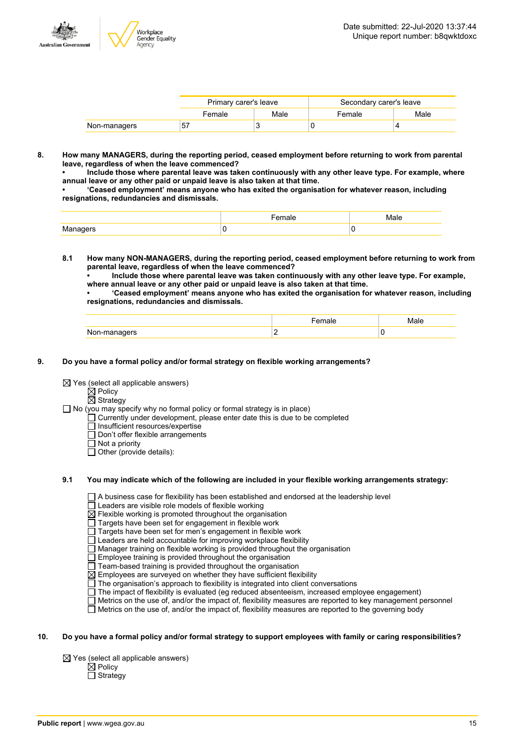

|              | Primary carer's leave |      | Secondary carer's leave |      |
|--------------|-----------------------|------|-------------------------|------|
|              | Female                | Male | Female                  | Male |
| Non-managers | 57                    |      |                         |      |

**8. How many MANAGERS, during the reporting period, ceased employment before returning to work from parental leave, regardless of when the leave commenced?**

**• Include those where parental leave was taken continuously with any other leave type. For example, where annual leave or any other paid or unpaid leave is also taken at that time.**

**• 'Ceased employment' means anyone who has exited the organisation for whatever reason, including resignations, redundancies and dismissals.**

- **8.1 How many NON-MANAGERS, during the reporting period, ceased employment before returning to work from parental leave, regardless of when the leave commenced?**
	- **• Include those where parental leave was taken continuously with any other leave type. For example, where annual leave or any other paid or unpaid leave is also taken at that time.**

**• 'Ceased employment' means anyone who has exited the organisation for whatever reason, including resignations, redundancies and dismissals.**

| NH<br>$\cdots$ |  |
|----------------|--|

#### **9. Do you have a formal policy and/or formal strategy on flexible working arrangements?**

 $\boxtimes$  Yes (select all applicable answers)

 $\boxtimes$  Policy  $\overline{\boxtimes}$  Strategy

 $\Box$  No (you may specify why no formal policy or formal strategy is in place)

Currently under development, please enter date this is due to be completed

Insufficient resources/expertise

- $\overline{\Box}$  Don't offer flexible arrangements
- $\Box$  Not a priority

 $\Box$  Other (provide details):

#### **9.1 You may indicate which of the following are included in your flexible working arrangements strategy:**

A business case for flexibility has been established and endorsed at the leadership level

Leaders are visible role models of flexible working

 $\boxtimes$  Flexible working is promoted throughout the organisation

Targets have been set for engagement in flexible work

Targets have been set for men's engagement in flexible work

Leaders are held accountable for improving workplace flexibility

- $\Box$  Manager training on flexible working is provided throughout the organisation
- Employee training is provided throughout the organisation

Team-based training is provided throughout the organisation

 $\boxtimes$  Employees are surveyed on whether they have sufficient flexibility

 $\Box$  The organisation's approach to flexibility is integrated into client conversations

- The impact of flexibility is evaluated (eg reduced absenteeism, increased employee engagement)
- Metrics on the use of, and/or the impact of, flexibility measures are reported to key management personnel

 $\Box$  Metrics on the use of, and/or the impact of, flexibility measures are reported to the governing body

#### 10. Do you have a formal policy and/or formal strategy to support employees with family or caring responsibilities?

 $\boxtimes$  Yes (select all applicable answers)

 $\boxtimes$  Policy

 $\overline{\Box}$  Strategy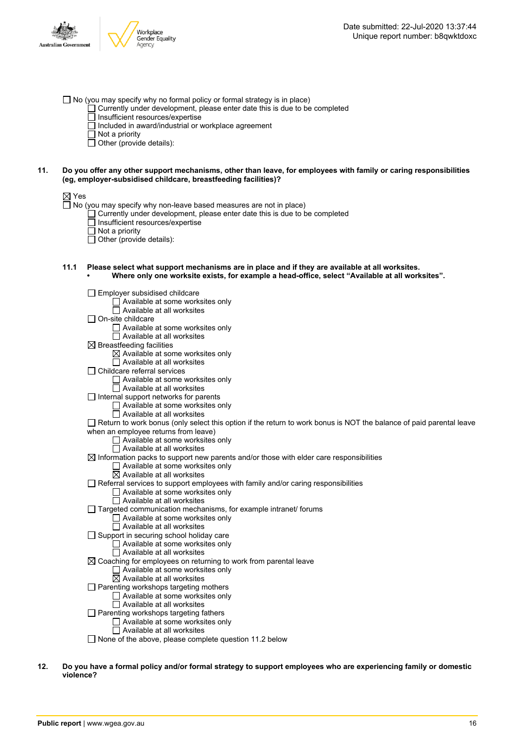- $\Box$  No (you may specify why no formal policy or formal strategy is in place)
	- $\Box$  Currently under development, please enter date this is due to be completed
	- $\overline{\Box}$  Insufficient resources/expertise
	- $\Box$  Included in award/industrial or workplace agreement
	- $\Box$  Not a priority
	- $\Box$  Other (provide details):

#### 11. Do you offer any other support mechanisms, other than leave, for employees with family or caring responsibilities **(eg, employer-subsidised childcare, breastfeeding facilities)?**

#### ⊠ Yes

 $\Box$  No (you may specify why non-leave based measures are not in place)

- Currently under development, please enter date this is due to be completed
- Insufficient resources/expertise
- $\overline{\Box}$  Not a priority
- $\overline{\Box}$  Other (provide details):
- **11.1 Please select what support mechanisms are in place and if they are available at all worksites. • Where only one worksite exists, for example a head-office, select "Available at all worksites".**

 $\Box$  Employer subsidised childcare □ Available at some worksites only

- $\Box$  Available at all worksites
- On-site childcare
	- Available at some worksites only
	- Available at all worksites
- $\boxtimes$  Breastfeeding facilities
	- $\boxtimes$  Available at some worksites only
		- □ Available at all worksites
- Childcare referral services
	- □ Available at some worksites only
	- $\Box$  Available at all worksites
- $\Box$  Internal support networks for parents
	- $\Box$  Available at some worksites only
	- $\Box$  Available at all worksites
- $\Box$  Return to work bonus (only select this option if the return to work bonus is NOT the balance of paid parental leave when an employee returns from leave)
	- Available at some worksites only
	- $\Box$  Available at all worksites
- $\boxtimes$  Information packs to support new parents and/or those with elder care responsibilities
	- □ Available at some worksites only
	- $\overline{\boxtimes}$  Available at all worksites
- $\Box$  Referral services to support employees with family and/or caring responsibilities
	- Available at some worksites only Available at all worksites
- $\Box$  Targeted communication mechanisms, for example intranet/ forums
	- Available at some worksites only
	- Available at all worksites
- $\Box$  Support in securing school holiday care
	- $\Box$  Available at some worksites only
	- $\Box$  Available at all worksites
- $\boxtimes$  Coaching for employees on returning to work from parental leave □ Available at some worksites only
	- $\boxtimes$  Available at all worksites
- $\Box$  Parenting workshops targeting mothers
	- □ Available at some worksites only
	- Available at all worksites
- □ Parenting workshops targeting fathers Available at some worksites only
	- $\Box$  Available at all worksites
- $\Box$  None of the above, please complete question 11.2 below
- 12. Do you have a formal policy and/or formal strategy to support employees who are experiencing family or domestic **violence?**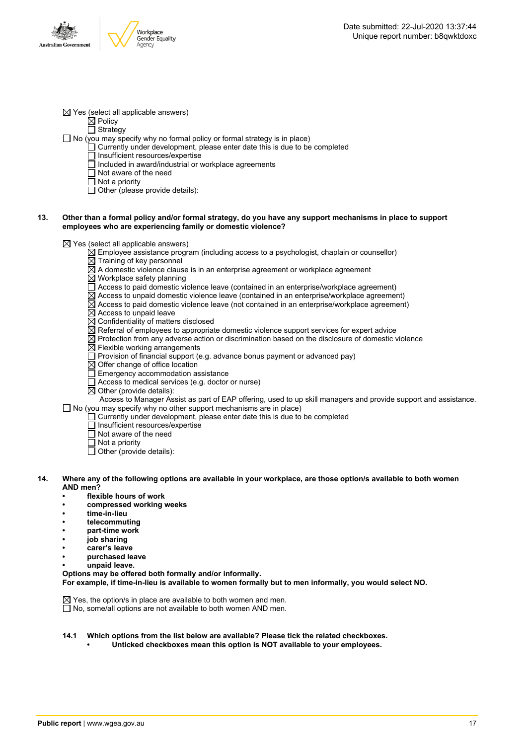

 $\boxtimes$  Yes (select all applicable answers)

 $\boxtimes$  Policy

 $\overline{\Box}$  Strategy

- $\Box$  No (you may specify why no formal policy or formal strategy is in place)
	- $\Box$  Currently under development, please enter date this is due to be completed
		- □ Insufficient resources/expertise
		- $\Box$  included in award/industrial or workplace agreements
		- Not aware of the need
		- $\overline{\Box}$  Not a priority
		- $\Box$  Other (please provide details):

#### 13. Other than a formal policy and/or formal strategy, do you have any support mechanisms in place to support **employees who are experiencing family or domestic violence?**

 $\boxtimes$  Yes (select all applicable answers)

- $\overline{\boxtimes}$  Employee assistance program (including access to a psychologist, chaplain or counsellor)
- $\boxtimes$  Training of key personnel
	- $\boxtimes$  A domestic violence clause is in an enterprise agreement or workplace agreement
	- Workplace safety planning
	- Access to paid domestic violence leave (contained in an enterprise/workplace agreement)
	- $\boxtimes$  Access to unpaid domestic violence leave (contained in an enterprise/workplace agreement)
- $\boxtimes$  Access to paid domestic violence leave (not contained in an enterprise/workplace agreement)
- $\boxtimes$  Access to unpaid leave
- $\overline{\boxtimes}$  Confidentiality of matters disclosed
- $\boxtimes$  Referral of employees to appropriate domestic violence support services for expert advice
- $\boxtimes$  Protection from any adverse action or discrimination based on the disclosure of domestic violence
- $\boxtimes$  Flexible working arrangements
- $\Box$  Provision of financial support (e.g. advance bonus payment or advanced pay)
- $\boxtimes$  Offer change of office location
- Emergency accommodation assistance
- Access to medical services (e.g. doctor or nurse)
- $\overline{\boxtimes}$  Other (provide details):

Access to Manager Assist as part of EAP offering, used to up skill managers and provide support and assistance.  $\Box$  No (you may specify why no other support mechanisms are in place)

- $\Box$  Currently under development, please enter date this is due to be completed
- $\overline{\Box}$  Insufficient resources/expertise
- $\Box$  Not aware of the need
- $\Box$  Not a priority
- Other (provide details):
- 14. Where any of the following options are available in your workplace, are those option/s available to both women **AND men?**
	- **• flexible hours of work**
	- **• compressed working weeks**
	- **• time-in-lieu**
	- **• telecommuting**
	- **• part-time work**
	- **• job sharing**
	- **• carer's leave**
	- **• purchased leave**
	- **• unpaid leave.**

**Options may be offered both formally and/or informally.**

**For example, if time-in-lieu is available to women formally but to men informally, you would select NO.**

 $\boxtimes$  Yes, the option/s in place are available to both women and men.

 $\Box$  No, some/all options are not available to both women AND men.

- **14.1 Which options from the list below are available? Please tick the related checkboxes.**
	- **• Unticked checkboxes mean this option is NOT available to your employees.**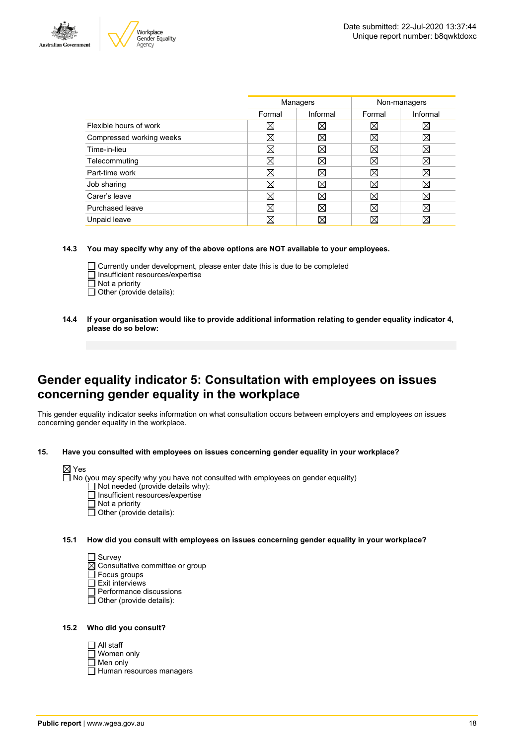



|                          | Managers |          | Non-managers |             |
|--------------------------|----------|----------|--------------|-------------|
|                          | Formal   | Informal | Formal       | Informal    |
| Flexible hours of work   | ⊠        | ⋈        | ⊠            | ⋈           |
| Compressed working weeks | ⊠        | X        | ⊠            | ⊠           |
| Time-in-lieu             | ⊠        | X        | $\boxtimes$  | ⊠           |
| Telecommuting            | ⊠        | Χ        | ⊠            | X           |
| Part-time work           | ⊠        | ⊠        | ⊠            | ⊠           |
| Job sharing              | ⊠        | X        | ⊠            | ⊠           |
| Carer's leave            | ⊠        | X        | ⊠            | X           |
| Purchased leave          | ⊠        | M        | $\boxtimes$  | $\boxtimes$ |
| Unpaid leave             | ⊠        | ⋉        | ⊠            | X           |
|                          |          |          |              |             |

**14.3 You may specify why any of the above options are NOT available to your employees.**

- Currently under development, please enter date this is due to be completed  $\Box$  Insufficient resources/expertise  $\overline{\Box}$  Not a priority
- $\Box$  Other (provide details):
- **14.4 If your organisation would like to provide additional information relating to gender equality indicator 4, please do so below:**

### **Gender equality indicator 5: Consultation with employees on issues concerning gender equality in the workplace**

This gender equality indicator seeks information on what consultation occurs between employers and employees on issues concerning gender equality in the workplace.

**15. Have you consulted with employees on issues concerning gender equality in your workplace?**

No (you may specify why you have not consulted with employees on gender equality)

- Not needed (provide details why):
- Insufficient resources/expertise
- $\overline{\Box}$  Not a priority
- $\overline{\Box}$  Other (provide details):

**15.1 How did you consult with employees on issues concerning gender equality in your workplace?**

□ Survey

- Consultative committee or group
- Focus groups  $\Box$  Exit interviews
- 
- Performance discussions Other (provide details):
- **15.2 Who did you consult?**

| $\Box$ All staff         |
|--------------------------|
| $\Box$ Women only        |
| $\Box$ Men only          |
| Human resources managers |
|                          |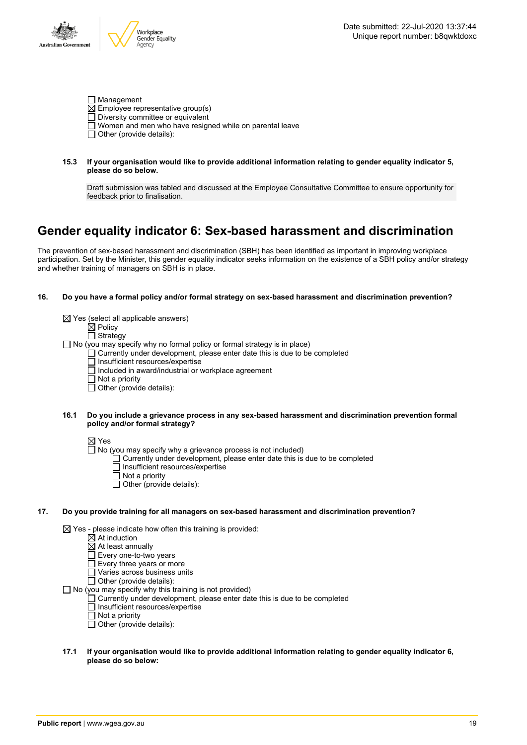

| Management                                                     |
|----------------------------------------------------------------|
| $\boxtimes$ Employee representative group(s)                   |
| $\Box$ Diversity committee or equivalent                       |
| $\Box$ Women and men who have resigned while on parental leave |
| $\Box$ Other (provide details):                                |

**15.3 If your organisation would like to provide additional information relating to gender equality indicator 5, please do so below.**

Draft submission was tabled and discussed at the Employee Consultative Committee to ensure opportunity for feedback prior to finalisation.

# **Gender equality indicator 6: Sex-based harassment and discrimination**

The prevention of sex-based harassment and discrimination (SBH) has been identified as important in improving workplace participation. Set by the Minister, this gender equality indicator seeks information on the existence of a SBH policy and/or strategy and whether training of managers on SBH is in place.

#### **16. Do you have a formal policy and/or formal strategy on sex-based harassment and discrimination prevention?**

|     |      | $\boxtimes$ Yes (select all applicable answers)<br>$\boxtimes$ Policy<br>$\Box$ Strategy<br>$\Box$ No (you may specify why no formal policy or formal strategy is in place)<br>$\Box$ Currently under development, please enter date this is due to be completed<br>Insufficient resources/expertise<br>Included in award/industrial or workplace agreement<br>$\Box$ Not a priority<br>Other (provide details): |
|-----|------|------------------------------------------------------------------------------------------------------------------------------------------------------------------------------------------------------------------------------------------------------------------------------------------------------------------------------------------------------------------------------------------------------------------|
|     | 16.1 | Do you include a grievance process in any sex-based harassment and discrimination prevention formal<br>policy and/or formal strategy?                                                                                                                                                                                                                                                                            |
|     |      | $\boxtimes$ Yes<br>$\Box$ No (you may specify why a grievance process is not included)<br>$\Box$ Currently under development, please enter date this is due to be completed<br>Insufficient resources/expertise<br>Not a priority<br>Other (provide details):                                                                                                                                                    |
| 17. |      | Do you provide training for all managers on sex-based harassment and discrimination prevention?                                                                                                                                                                                                                                                                                                                  |
|     |      | $\boxtimes$ Yes - please indicate how often this training is provided:<br>$\boxtimes$ At induction<br>$\boxtimes$ At least annually<br>Every one-to-two years<br>Every three years or more<br>Varies across business units<br>Other (provide details):<br>$\Box$ No (you may specify why this training is not provided)                                                                                          |

may specify why this training is not provided)

- Currently under development, please enter date this is due to be completed
	- Insufficient resources/expertise
	- Not a priority
	- $\overline{\Box}$  Other (provide details):
- **17.1 If your organisation would like to provide additional information relating to gender equality indicator 6, please do so below:**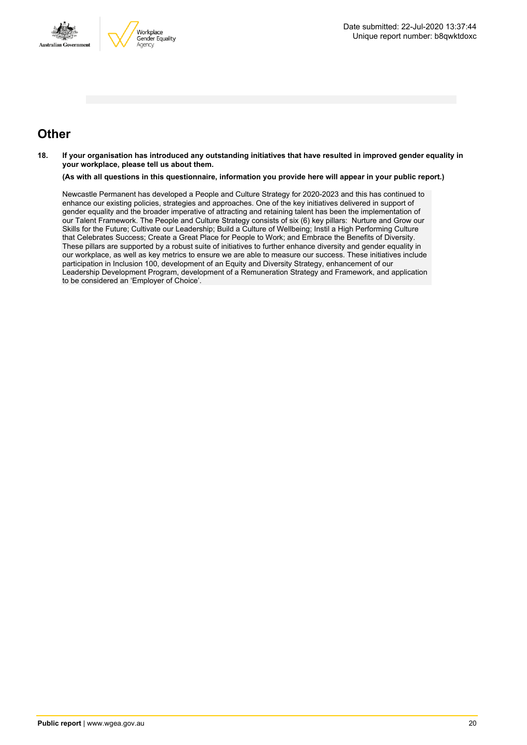



### **Other**

18. If your organisation has introduced any outstanding initiatives that have resulted in improved gender equality in **your workplace, please tell us about them.**

(As with all questions in this questionnaire, information you provide here will appear in your public report.)

Newcastle Permanent has developed a People and Culture Strategy for 2020-2023 and this has continued to enhance our existing policies, strategies and approaches. One of the key initiatives delivered in support of gender equality and the broader imperative of attracting and retaining talent has been the implementation of our Talent Framework. The People and Culture Strategy consists of six (6) key pillars: Nurture and Grow our Skills for the Future; Cultivate our Leadership; Build a Culture of Wellbeing; Instil a High Performing Culture that Celebrates Success; Create a Great Place for People to Work; and Embrace the Benefits of Diversity. These pillars are supported by a robust suite of initiatives to further enhance diversity and gender equality in our workplace, as well as key metrics to ensure we are able to measure our success. These initiatives include participation in Inclusion 100, development of an Equity and Diversity Strategy, enhancement of our Leadership Development Program, development of a Remuneration Strategy and Framework, and application to be considered an 'Employer of Choice'.